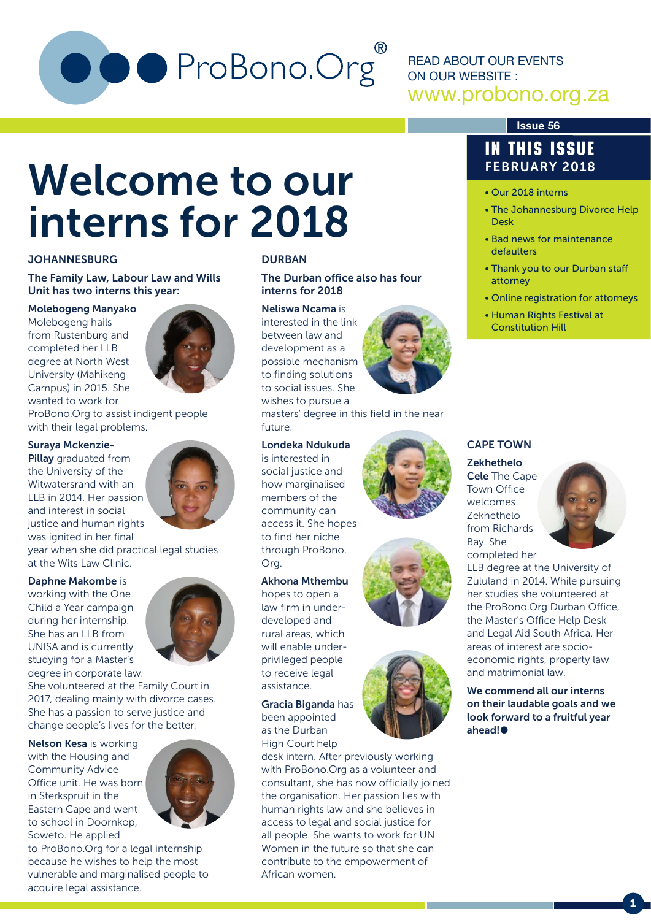# O ProBono.Org

READ ABOUT OUR EVENTS ON OUR WEBSITE : www.probono.org.za

# Welcome to our interns for 2018 **Finding Section**

#### **JOHANNESBURG**

The Family Law, Labour Law and Wills Unit has two interns this year:

#### Molebogeng Manyako

Molebogeng hails from Rustenburg and completed her LLB degree at North West University (Mahikeng Campus) in 2015. She wanted to work for



ProBono.Org to assist indigent people with their legal problems.

#### Suraya Mckenzie-

Pillay graduated from the University of the Witwatersrand with an LLB in 2014. Her passion and interest in social justice and human rights was ignited in her final

year when she did practical legal studies at the Wits Law Clinic.

#### Daphne Makombe is

working with the One Child a Year campaign during her internship. She has an LLB from UNISA and is currently studying for a Master's degree in corporate law.



She volunteered at the Family Court in 2017, dealing mainly with divorce cases. She has a passion to serve justice and change people's lives for the better.

Nelson Kesa is working with the Housing and Community Advice Office unit. He was born in Sterkspruit in the Eastern Cape and went to school in Doornkop, Soweto. He applied



to ProBono.Org for a legal internship because he wishes to help the most vulnerable and marginalised people to acquire legal assistance.

#### DURBAN

The Durban office also has four interns for 2018

#### Neliswa Ncama is

interested in the link between law and development as a possible mechanism to finding solutions to social issues. She wishes to pursue a

masters' degree in this field in the near future.

#### Londeka Ndukuda

is interested in social justice and how marginalised members of the community can access it. She hopes to find her niche through ProBono. Org.

#### Akhona Mthembu

hopes to open a law firm in underdeveloped and rural areas, which will enable underprivileged people to receive legal assistance.

Gracia Biganda has been appointed as the Durban High Court help

desk intern. After previously working with ProBono.Org as a volunteer and consultant, she has now officially joined the organisation. Her passion lies with human rights law and she believes in access to legal and social justice for all people. She wants to work for UN Women in the future so that she can contribute to the empowerment of African women.

#### **Issue 56**

#### IN THIS ISSUE FEBRUARY 2018

- 
- The Johannesburg Divorce Help Desk
- Bad news for maintenance defaulters
- Thank you to our Durban staff attorney
- Online registration for attorneys
- Human Rights Festival at Constitution Hill

#### CAPE TOWN

#### Zekhethelo

Cele The Cape Town Office welcomes Zekhethelo from Richards Bay. She completed her



LLB degree at the University of Zululand in 2014. While pursuing her studies she volunteered at the ProBono.Org Durban Office, the Master's Office Help Desk and Legal Aid South Africa. Her areas of interest are socioeconomic rights, property law and matrimonial law.

We commend all our interns on their laudable goals and we look forward to a fruitful year ahead!<sup>●</sup>





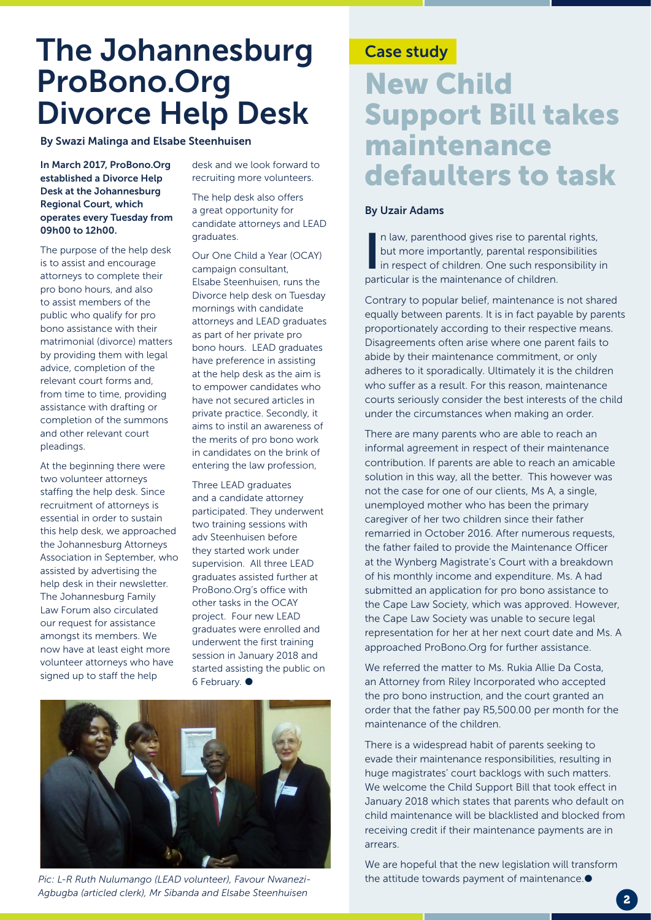# The Johannesburg ProBono.Org Divorce Help Desk

By Swazi Malinga and Elsabe Steenhuisen

In March 2017, ProBono.Org established a Divorce Help Desk at the Johannesburg Regional Court, which operates every Tuesday from 09h00 to 12h00.

The purpose of the help desk is to assist and encourage attorneys to complete their pro bono hours, and also to assist members of the public who qualify for pro bono assistance with their matrimonial (divorce) matters by providing them with legal advice, completion of the relevant court forms and, from time to time, providing assistance with drafting or completion of the summons and other relevant court pleadings.

At the beginning there were two volunteer attorneys staffing the help desk. Since recruitment of attorneys is essential in order to sustain this help desk, we approached the Johannesburg Attorneys Association in September, who assisted by advertising the help desk in their newsletter. The Johannesburg Family Law Forum also circulated our request for assistance amongst its members. We now have at least eight more volunteer attorneys who have signed up to staff the help

desk and we look forward to recruiting more volunteers.

The help desk also offers a great opportunity for candidate attorneys and LEAD graduates.

Our One Child a Year (OCAY) campaign consultant, Elsabe Steenhuisen, runs the Divorce help desk on Tuesday mornings with candidate attorneys and LEAD graduates as part of her private pro bono hours. LEAD graduates have preference in assisting at the help desk as the aim is to empower candidates who have not secured articles in private practice. Secondly, it aims to instil an awareness of the merits of pro bono work in candidates on the brink of entering the law profession,

Three LEAD graduates and a candidate attorney participated. They underwent two training sessions with adv Steenhuisen before they started work under supervision. All three LEAD graduates assisted further at ProBono.Org's office with other tasks in the OCAY project. Four new LEAD graduates were enrolled and underwent the first training session in January 2018 and started assisting the public on 6 February.  $\bullet$ 



*Pic: L-R Ruth Nulumango (LEAD volunteer), Favour Nwanezi-Agbugba (articled clerk), Mr Sibanda and Elsabe Steenhuisen*

#### Case study

## New Child Support Bill takes maintenance defaulters to task

#### By Uzair Adams

In law, parenthood gives rise to parent<br>but more importantly, parental respor<br>in respect of children. One such respo<br>particular is the maintenance of children. n law, parenthood gives rise to parental rights, but more importantly, parental responsibilities in respect of children. One such responsibility in

Contrary to popular belief, maintenance is not shared equally between parents. It is in fact payable by parents proportionately according to their respective means. Disagreements often arise where one parent fails to abide by their maintenance commitment, or only adheres to it sporadically. Ultimately it is the children who suffer as a result. For this reason, maintenance courts seriously consider the best interests of the child under the circumstances when making an order.

There are many parents who are able to reach an informal agreement in respect of their maintenance contribution. If parents are able to reach an amicable solution in this way, all the better. This however was not the case for one of our clients, Ms A, a single, unemployed mother who has been the primary caregiver of her two children since their father remarried in October 2016. After numerous requests, the father failed to provide the Maintenance Officer at the Wynberg Magistrate's Court with a breakdown of his monthly income and expenditure. Ms. A had submitted an application for pro bono assistance to the Cape Law Society, which was approved. However, the Cape Law Society was unable to secure legal representation for her at her next court date and Ms. A approached ProBono.Org for further assistance.

We referred the matter to Ms. Rukia Allie Da Costa, an Attorney from Riley Incorporated who accepted the pro bono instruction, and the court granted an order that the father pay R5,500.00 per month for the maintenance of the children.

There is a widespread habit of parents seeking to evade their maintenance responsibilities, resulting in huge magistrates' court backlogs with such matters. We welcome the Child Support Bill that took effect in January 2018 which states that parents who default on child maintenance will be blacklisted and blocked from receiving credit if their maintenance payments are in arrears.

We are hopeful that the new legislation will transform the attitude towards payment of maintenance. $\bullet$